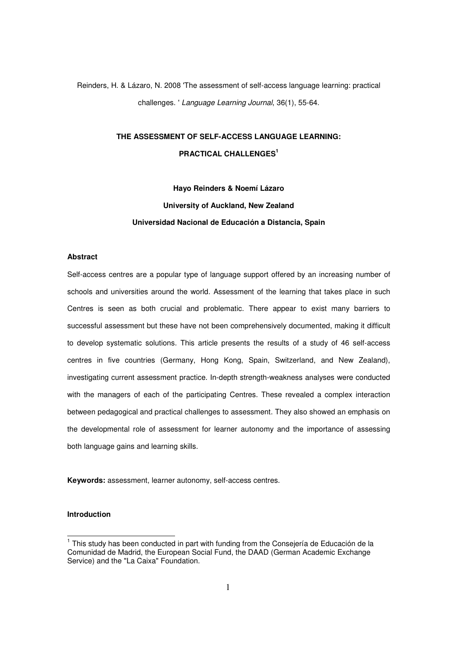Reinders, H. & Lázaro, N. 2008 'The assessment of self-access language learning: practical challenges. ' Language Learning Journal, 36(1), 55-64.

# **THE ASSESSMENT OF SELF-ACCESS LANGUAGE LEARNING: PRACTICAL CHALLENGES<sup>1</sup>**

**Hayo Reinders & Noemí Lázaro University of Auckland, New Zealand Universidad Nacional de Educación a Distancia, Spain** 

# **Abstract**

Self-access centres are a popular type of language support offered by an increasing number of schools and universities around the world. Assessment of the learning that takes place in such Centres is seen as both crucial and problematic. There appear to exist many barriers to successful assessment but these have not been comprehensively documented, making it difficult to develop systematic solutions. This article presents the results of a study of 46 self-access centres in five countries (Germany, Hong Kong, Spain, Switzerland, and New Zealand), investigating current assessment practice. In-depth strength-weakness analyses were conducted with the managers of each of the participating Centres. These revealed a complex interaction between pedagogical and practical challenges to assessment. They also showed an emphasis on the developmental role of assessment for learner autonomy and the importance of assessing both language gains and learning skills.

**Keywords:** assessment, learner autonomy, self-access centres.

# **Introduction**

 1 This study has been conducted in part with funding from the Consejería de Educación de la Comunidad de Madrid, the European Social Fund, the DAAD (German Academic Exchange Service) and the "La Caixa" Foundation.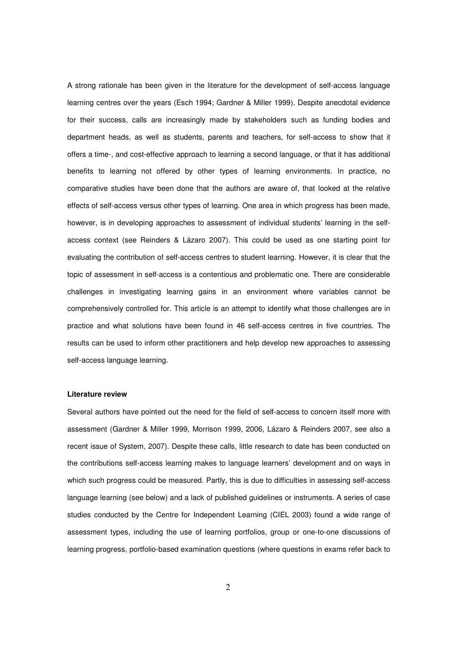A strong rationale has been given in the literature for the development of self-access language learning centres over the years (Esch 1994; Gardner & Miller 1999). Despite anecdotal evidence for their success, calls are increasingly made by stakeholders such as funding bodies and department heads, as well as students, parents and teachers, for self-access to show that it offers a time-, and cost-effective approach to learning a second language, or that it has additional benefits to learning not offered by other types of learning environments. In practice, no comparative studies have been done that the authors are aware of, that looked at the relative effects of self-access versus other types of learning. One area in which progress has been made, however, is in developing approaches to assessment of individual students' learning in the selfaccess context (see Reinders & Lázaro 2007). This could be used as one starting point for evaluating the contribution of self-access centres to student learning. However, it is clear that the topic of assessment in self-access is a contentious and problematic one. There are considerable challenges in investigating learning gains in an environment where variables cannot be comprehensively controlled for. This article is an attempt to identify what those challenges are in practice and what solutions have been found in 46 self-access centres in five countries. The results can be used to inform other practitioners and help develop new approaches to assessing self-access language learning.

## **Literature review**

Several authors have pointed out the need for the field of self-access to concern itself more with assessment (Gardner & Miller 1999, Morrison 1999, 2006, Lázaro & Reinders 2007, see also a recent issue of System, 2007). Despite these calls, little research to date has been conducted on the contributions self-access learning makes to language learners' development and on ways in which such progress could be measured. Partly, this is due to difficulties in assessing self-access language learning (see below) and a lack of published guidelines or instruments. A series of case studies conducted by the Centre for Independent Learning (CIEL 2003) found a wide range of assessment types, including the use of learning portfolios, group or one-to-one discussions of learning progress, portfolio-based examination questions (where questions in exams refer back to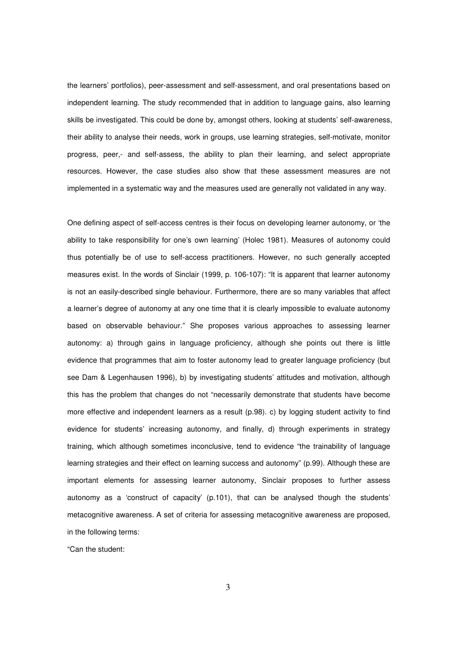the learners' portfolios), peer-assessment and self-assessment, and oral presentations based on independent learning. The study recommended that in addition to language gains, also learning skills be investigated. This could be done by, amongst others, looking at students' self-awareness, their ability to analyse their needs, work in groups, use learning strategies, self-motivate, monitor progress, peer,- and self-assess, the ability to plan their learning, and select appropriate resources. However, the case studies also show that these assessment measures are not implemented in a systematic way and the measures used are generally not validated in any way.

One defining aspect of self-access centres is their focus on developing learner autonomy, or 'the ability to take responsibility for one's own learning' (Holec 1981). Measures of autonomy could thus potentially be of use to self-access practitioners. However, no such generally accepted measures exist. In the words of Sinclair (1999, p. 106-107): "It is apparent that learner autonomy is not an easily-described single behaviour. Furthermore, there are so many variables that affect a learner's degree of autonomy at any one time that it is clearly impossible to evaluate autonomy based on observable behaviour." She proposes various approaches to assessing learner autonomy: a) through gains in language proficiency, although she points out there is little evidence that programmes that aim to foster autonomy lead to greater language proficiency (but see Dam & Legenhausen 1996), b) by investigating students' attitudes and motivation, although this has the problem that changes do not "necessarily demonstrate that students have become more effective and independent learners as a result (p.98). c) by logging student activity to find evidence for students' increasing autonomy, and finally, d) through experiments in strategy training, which although sometimes inconclusive, tend to evidence "the trainability of language learning strategies and their effect on learning success and autonomy" (p.99). Although these are important elements for assessing learner autonomy, Sinclair proposes to further assess autonomy as a 'construct of capacity' (p.101), that can be analysed though the students' metacognitive awareness. A set of criteria for assessing metacognitive awareness are proposed, in the following terms:

"Can the student:

3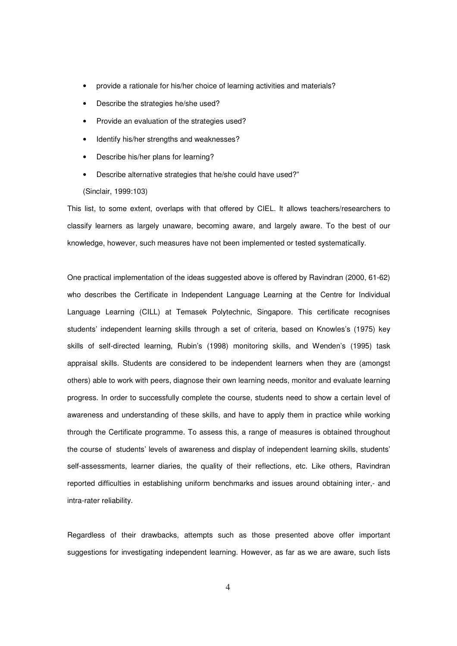- provide a rationale for his/her choice of learning activities and materials?
- Describe the strategies he/she used?
- Provide an evaluation of the strategies used?
- Identify his/her strengths and weaknesses?
- Describe his/her plans for learning?
- Describe alternative strategies that he/she could have used?"

(Sinclair, 1999:103)

This list, to some extent, overlaps with that offered by CIEL. It allows teachers/researchers to classify learners as largely unaware, becoming aware, and largely aware. To the best of our knowledge, however, such measures have not been implemented or tested systematically.

One practical implementation of the ideas suggested above is offered by Ravindran (2000, 61-62) who describes the Certificate in Independent Language Learning at the Centre for Individual Language Learning (CILL) at Temasek Polytechnic, Singapore. This certificate recognises students' independent learning skills through a set of criteria, based on Knowles's (1975) key skills of self-directed learning, Rubin's (1998) monitoring skills, and Wenden's (1995) task appraisal skills. Students are considered to be independent learners when they are (amongst others) able to work with peers, diagnose their own learning needs, monitor and evaluate learning progress. In order to successfully complete the course, students need to show a certain level of awareness and understanding of these skills, and have to apply them in practice while working through the Certificate programme. To assess this, a range of measures is obtained throughout the course of students' levels of awareness and display of independent learning skills, students' self-assessments, learner diaries, the quality of their reflections, etc. Like others, Ravindran reported difficulties in establishing uniform benchmarks and issues around obtaining inter,- and intra-rater reliability.

Regardless of their drawbacks, attempts such as those presented above offer important suggestions for investigating independent learning. However, as far as we are aware, such lists

4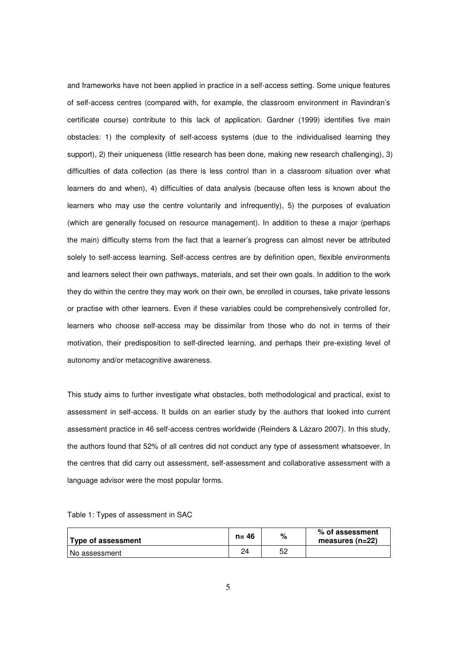and frameworks have not been applied in practice in a self-access setting. Some unique features of self-access centres (compared with, for example, the classroom environment in Ravindran's certificate course) contribute to this lack of application. Gardner (1999) identifies five main obstacles: 1) the complexity of self-access systems (due to the individualised learning they support), 2) their uniqueness (little research has been done, making new research challenging), 3) difficulties of data collection (as there is less control than in a classroom situation over what learners do and when), 4) difficulties of data analysis (because often less is known about the learners who may use the centre voluntarily and infrequently), 5) the purposes of evaluation (which are generally focused on resource management). In addition to these a major (perhaps the main) difficulty stems from the fact that a learner's progress can almost never be attributed solely to self-access learning. Self-access centres are by definition open, flexible environments and learners select their own pathways, materials, and set their own goals. In addition to the work they do within the centre they may work on their own, be enrolled in courses, take private lessons or practise with other learners. Even if these variables could be comprehensively controlled for, learners who choose self-access may be dissimilar from those who do not in terms of their motivation, their predisposition to self-directed learning, and perhaps their pre-existing level of autonomy and/or metacognitive awareness.

This study aims to further investigate what obstacles, both methodological and practical, exist to assessment in self-access. It builds on an earlier study by the authors that looked into current assessment practice in 46 self-access centres worldwide (Reinders & Lázaro 2007). In this study, the authors found that 52% of all centres did not conduct any type of assessment whatsoever. In the centres that did carry out assessment, self-assessment and collaborative assessment with a language advisor were the most popular forms.

| Type of assessment | $n = 46$ | %  | % of assessment<br>measures ( $n=22$ ) |
|--------------------|----------|----|----------------------------------------|
| l No assessment    | 24       | 52 |                                        |

Table 1: Types of assessment in SAC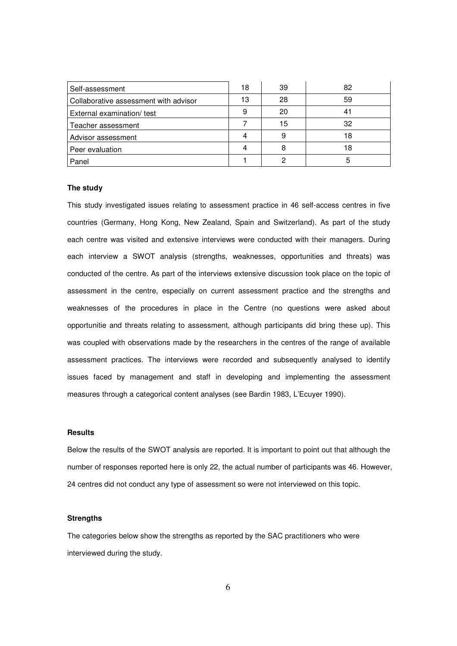| Self-assessment                       | 18 | 39 | 82 |
|---------------------------------------|----|----|----|
| Collaborative assessment with advisor | 13 | 28 | 59 |
| External examination/ test            |    | 20 |    |
| Teacher assessment                    |    | 15 | 32 |
| Advisor assessment                    |    |    | 18 |
| Peer evaluation                       |    |    | 18 |
| Panel                                 |    |    |    |

## **The study**

This study investigated issues relating to assessment practice in 46 self-access centres in five countries (Germany, Hong Kong, New Zealand, Spain and Switzerland). As part of the study each centre was visited and extensive interviews were conducted with their managers. During each interview a SWOT analysis (strengths, weaknesses, opportunities and threats) was conducted of the centre. As part of the interviews extensive discussion took place on the topic of assessment in the centre, especially on current assessment practice and the strengths and weaknesses of the procedures in place in the Centre (no questions were asked about opportunitie and threats relating to assessment, although participants did bring these up). This was coupled with observations made by the researchers in the centres of the range of available assessment practices. The interviews were recorded and subsequently analysed to identify issues faced by management and staff in developing and implementing the assessment measures through a categorical content analyses (see Bardin 1983, L'Ecuyer 1990).

# **Results**

Below the results of the SWOT analysis are reported. It is important to point out that although the number of responses reported here is only 22, the actual number of participants was 46. However, 24 centres did not conduct any type of assessment so were not interviewed on this topic.

## **Strengths**

The categories below show the strengths as reported by the SAC practitioners who were interviewed during the study.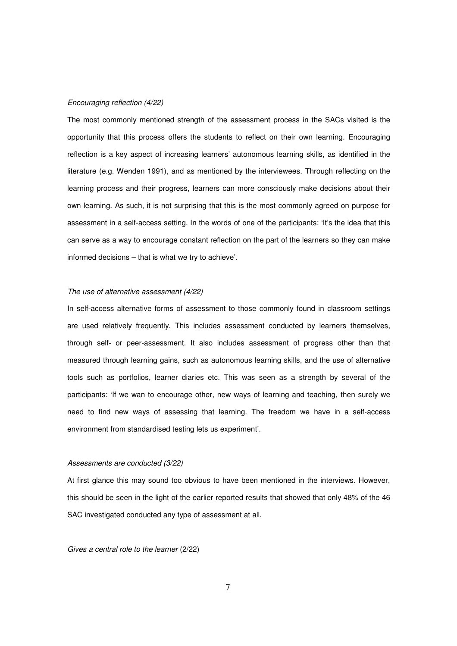#### Encouraging reflection (4/22)

The most commonly mentioned strength of the assessment process in the SACs visited is the opportunity that this process offers the students to reflect on their own learning. Encouraging reflection is a key aspect of increasing learners' autonomous learning skills, as identified in the literature (e.g. Wenden 1991), and as mentioned by the interviewees. Through reflecting on the learning process and their progress, learners can more consciously make decisions about their own learning. As such, it is not surprising that this is the most commonly agreed on purpose for assessment in a self-access setting. In the words of one of the participants: 'It's the idea that this can serve as a way to encourage constant reflection on the part of the learners so they can make informed decisions – that is what we try to achieve'.

#### The use of alternative assessment (4/22)

In self-access alternative forms of assessment to those commonly found in classroom settings are used relatively frequently. This includes assessment conducted by learners themselves, through self- or peer-assessment. It also includes assessment of progress other than that measured through learning gains, such as autonomous learning skills, and the use of alternative tools such as portfolios, learner diaries etc. This was seen as a strength by several of the participants: 'If we wan to encourage other, new ways of learning and teaching, then surely we need to find new ways of assessing that learning. The freedom we have in a self-access environment from standardised testing lets us experiment'.

#### Assessments are conducted (3/22)

At first glance this may sound too obvious to have been mentioned in the interviews. However, this should be seen in the light of the earlier reported results that showed that only 48% of the 46 SAC investigated conducted any type of assessment at all.

Gives a central role to the learner (2/22)

7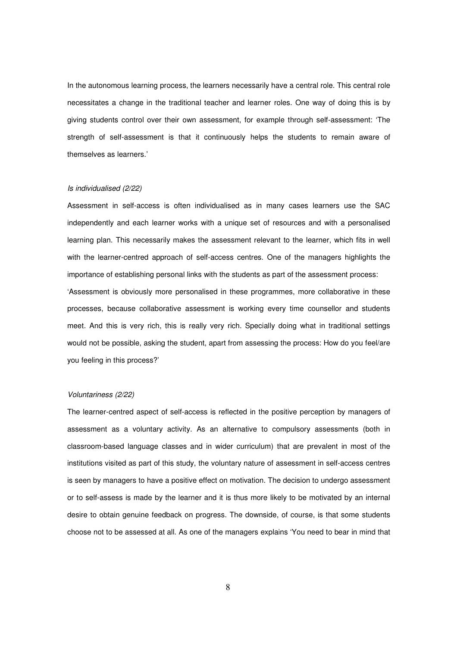In the autonomous learning process, the learners necessarily have a central role. This central role necessitates a change in the traditional teacher and learner roles. One way of doing this is by giving students control over their own assessment, for example through self-assessment: 'The strength of self-assessment is that it continuously helps the students to remain aware of themselves as learners.'

## Is individualised (2/22)

Assessment in self-access is often individualised as in many cases learners use the SAC independently and each learner works with a unique set of resources and with a personalised learning plan. This necessarily makes the assessment relevant to the learner, which fits in well with the learner-centred approach of self-access centres. One of the managers highlights the importance of establishing personal links with the students as part of the assessment process: 'Assessment is obviously more personalised in these programmes, more collaborative in these processes, because collaborative assessment is working every time counsellor and students meet. And this is very rich, this is really very rich. Specially doing what in traditional settings would not be possible, asking the student, apart from assessing the process: How do you feel/are you feeling in this process?'

#### Voluntariness (2/22)

The learner-centred aspect of self-access is reflected in the positive perception by managers of assessment as a voluntary activity. As an alternative to compulsory assessments (both in classroom-based language classes and in wider curriculum) that are prevalent in most of the institutions visited as part of this study, the voluntary nature of assessment in self-access centres is seen by managers to have a positive effect on motivation. The decision to undergo assessment or to self-assess is made by the learner and it is thus more likely to be motivated by an internal desire to obtain genuine feedback on progress. The downside, of course, is that some students choose not to be assessed at all. As one of the managers explains 'You need to bear in mind that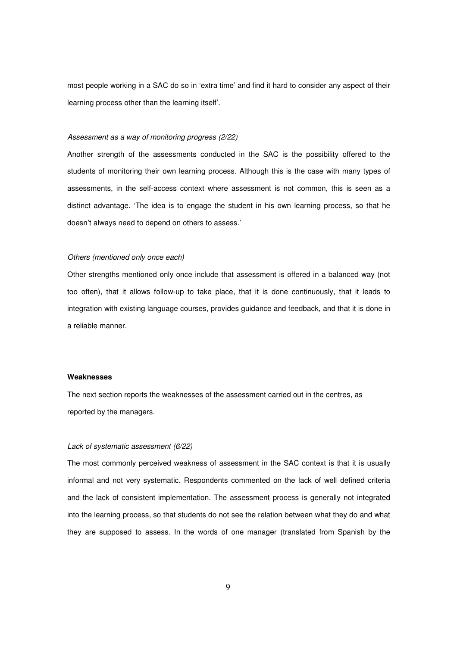most people working in a SAC do so in 'extra time' and find it hard to consider any aspect of their learning process other than the learning itself'.

#### Assessment as a way of monitoring progress (2/22)

Another strength of the assessments conducted in the SAC is the possibility offered to the students of monitoring their own learning process. Although this is the case with many types of assessments, in the self-access context where assessment is not common, this is seen as a distinct advantage. 'The idea is to engage the student in his own learning process, so that he doesn't always need to depend on others to assess.'

# Others (mentioned only once each)

Other strengths mentioned only once include that assessment is offered in a balanced way (not too often), that it allows follow-up to take place, that it is done continuously, that it leads to integration with existing language courses, provides guidance and feedback, and that it is done in a reliable manner.

### **Weaknesses**

The next section reports the weaknesses of the assessment carried out in the centres, as reported by the managers.

#### Lack of systematic assessment (6/22)

The most commonly perceived weakness of assessment in the SAC context is that it is usually informal and not very systematic. Respondents commented on the lack of well defined criteria and the lack of consistent implementation. The assessment process is generally not integrated into the learning process, so that students do not see the relation between what they do and what they are supposed to assess. In the words of one manager (translated from Spanish by the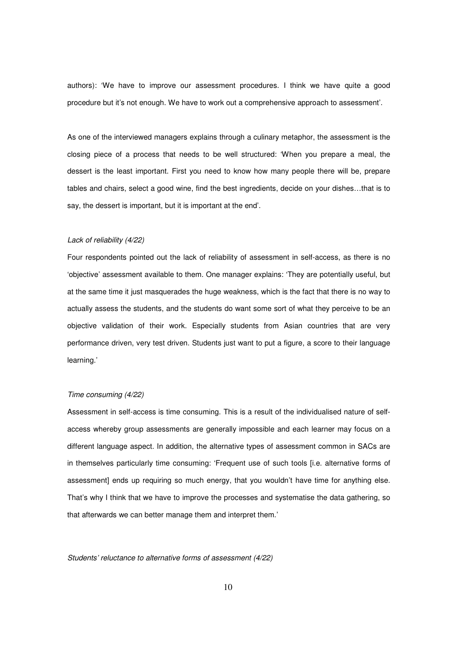authors): 'We have to improve our assessment procedures. I think we have quite a good procedure but it's not enough. We have to work out a comprehensive approach to assessment'.

As one of the interviewed managers explains through a culinary metaphor, the assessment is the closing piece of a process that needs to be well structured: 'When you prepare a meal, the dessert is the least important. First you need to know how many people there will be, prepare tables and chairs, select a good wine, find the best ingredients, decide on your dishes…that is to say, the dessert is important, but it is important at the end'.

## Lack of reliability (4/22)

Four respondents pointed out the lack of reliability of assessment in self-access, as there is no 'objective' assessment available to them. One manager explains: 'They are potentially useful, but at the same time it just masquerades the huge weakness, which is the fact that there is no way to actually assess the students, and the students do want some sort of what they perceive to be an objective validation of their work. Especially students from Asian countries that are very performance driven, very test driven. Students just want to put a figure, a score to their language learning.'

#### Time consuming (4/22)

Assessment in self-access is time consuming. This is a result of the individualised nature of selfaccess whereby group assessments are generally impossible and each learner may focus on a different language aspect. In addition, the alternative types of assessment common in SACs are in themselves particularly time consuming: 'Frequent use of such tools [i.e. alternative forms of assessment] ends up requiring so much energy, that you wouldn't have time for anything else. That's why I think that we have to improve the processes and systematise the data gathering, so that afterwards we can better manage them and interpret them.'

# Students' reluctance to alternative forms of assessment (4/22)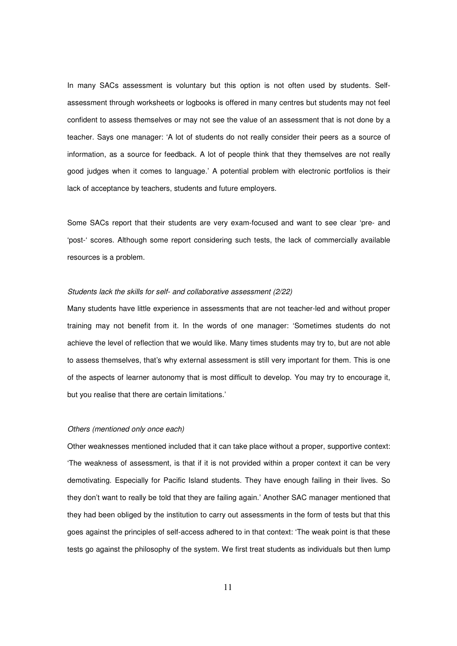In many SACs assessment is voluntary but this option is not often used by students. Selfassessment through worksheets or logbooks is offered in many centres but students may not feel confident to assess themselves or may not see the value of an assessment that is not done by a teacher. Says one manager: 'A lot of students do not really consider their peers as a source of information, as a source for feedback. A lot of people think that they themselves are not really good judges when it comes to language.' A potential problem with electronic portfolios is their lack of acceptance by teachers, students and future employers.

Some SACs report that their students are very exam-focused and want to see clear 'pre- and 'post-' scores. Although some report considering such tests, the lack of commercially available resources is a problem.

## Students lack the skills for self- and collaborative assessment (2/22)

Many students have little experience in assessments that are not teacher-led and without proper training may not benefit from it. In the words of one manager: 'Sometimes students do not achieve the level of reflection that we would like. Many times students may try to, but are not able to assess themselves, that's why external assessment is still very important for them. This is one of the aspects of learner autonomy that is most difficult to develop. You may try to encourage it, but you realise that there are certain limitations.'

#### Others (mentioned only once each)

Other weaknesses mentioned included that it can take place without a proper, supportive context: 'The weakness of assessment, is that if it is not provided within a proper context it can be very demotivating. Especially for Pacific Island students. They have enough failing in their lives. So they don't want to really be told that they are failing again.' Another SAC manager mentioned that they had been obliged by the institution to carry out assessments in the form of tests but that this goes against the principles of self-access adhered to in that context: 'The weak point is that these tests go against the philosophy of the system. We first treat students as individuals but then lump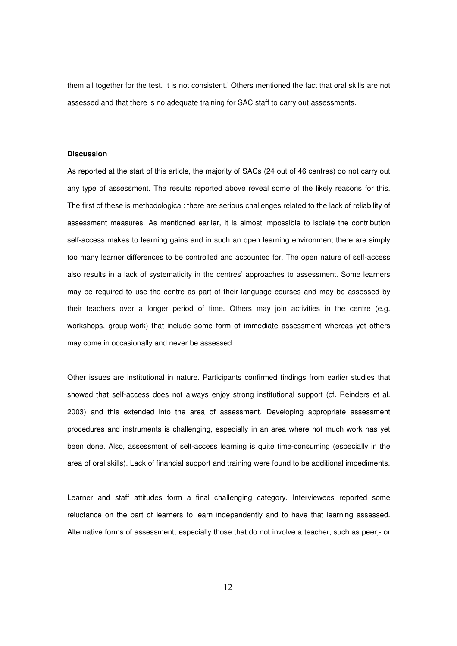them all together for the test. It is not consistent.' Others mentioned the fact that oral skills are not assessed and that there is no adequate training for SAC staff to carry out assessments.

## **Discussion**

As reported at the start of this article, the majority of SACs (24 out of 46 centres) do not carry out any type of assessment. The results reported above reveal some of the likely reasons for this. The first of these is methodological: there are serious challenges related to the lack of reliability of assessment measures. As mentioned earlier, it is almost impossible to isolate the contribution self-access makes to learning gains and in such an open learning environment there are simply too many learner differences to be controlled and accounted for. The open nature of self-access also results in a lack of systematicity in the centres' approaches to assessment. Some learners may be required to use the centre as part of their language courses and may be assessed by their teachers over a longer period of time. Others may join activities in the centre (e.g. workshops, group-work) that include some form of immediate assessment whereas yet others may come in occasionally and never be assessed.

Other issues are institutional in nature. Participants confirmed findings from earlier studies that showed that self-access does not always enjoy strong institutional support (cf. Reinders et al. 2003) and this extended into the area of assessment. Developing appropriate assessment procedures and instruments is challenging, especially in an area where not much work has yet been done. Also, assessment of self-access learning is quite time-consuming (especially in the area of oral skills). Lack of financial support and training were found to be additional impediments.

Learner and staff attitudes form a final challenging category. Interviewees reported some reluctance on the part of learners to learn independently and to have that learning assessed. Alternative forms of assessment, especially those that do not involve a teacher, such as peer,- or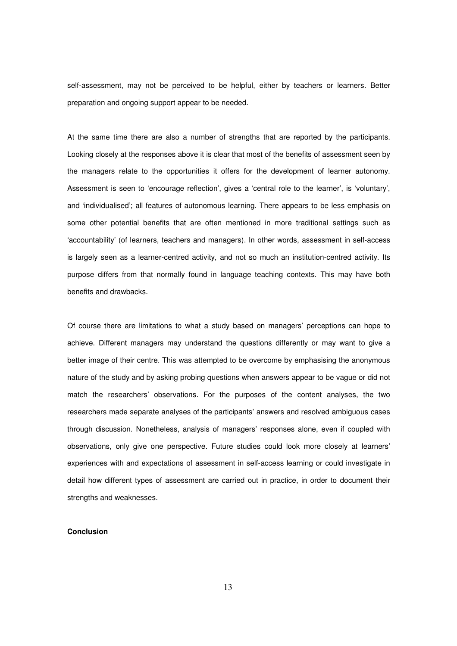self-assessment, may not be perceived to be helpful, either by teachers or learners. Better preparation and ongoing support appear to be needed.

At the same time there are also a number of strengths that are reported by the participants. Looking closely at the responses above it is clear that most of the benefits of assessment seen by the managers relate to the opportunities it offers for the development of learner autonomy. Assessment is seen to 'encourage reflection', gives a 'central role to the learner', is 'voluntary', and 'individualised'; all features of autonomous learning. There appears to be less emphasis on some other potential benefits that are often mentioned in more traditional settings such as 'accountability' (of learners, teachers and managers). In other words, assessment in self-access is largely seen as a learner-centred activity, and not so much an institution-centred activity. Its purpose differs from that normally found in language teaching contexts. This may have both benefits and drawbacks.

Of course there are limitations to what a study based on managers' perceptions can hope to achieve. Different managers may understand the questions differently or may want to give a better image of their centre. This was attempted to be overcome by emphasising the anonymous nature of the study and by asking probing questions when answers appear to be vague or did not match the researchers' observations. For the purposes of the content analyses, the two researchers made separate analyses of the participants' answers and resolved ambiguous cases through discussion. Nonetheless, analysis of managers' responses alone, even if coupled with observations, only give one perspective. Future studies could look more closely at learners' experiences with and expectations of assessment in self-access learning or could investigate in detail how different types of assessment are carried out in practice, in order to document their strengths and weaknesses.

# **Conclusion**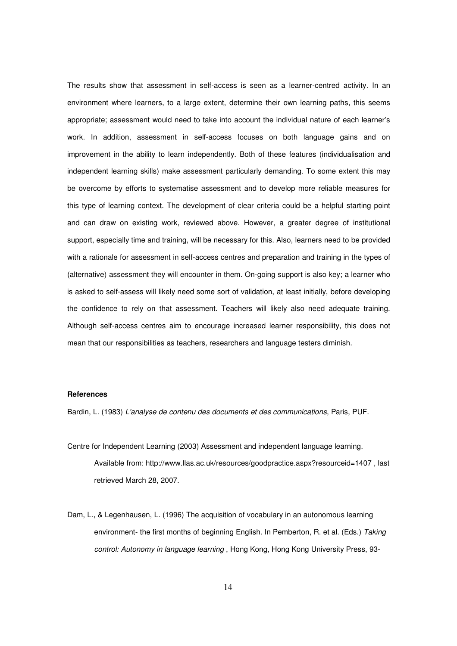The results show that assessment in self-access is seen as a learner-centred activity. In an environment where learners, to a large extent, determine their own learning paths, this seems appropriate; assessment would need to take into account the individual nature of each learner's work. In addition, assessment in self-access focuses on both language gains and on improvement in the ability to learn independently. Both of these features (individualisation and independent learning skills) make assessment particularly demanding. To some extent this may be overcome by efforts to systematise assessment and to develop more reliable measures for this type of learning context. The development of clear criteria could be a helpful starting point and can draw on existing work, reviewed above. However, a greater degree of institutional support, especially time and training, will be necessary for this. Also, learners need to be provided with a rationale for assessment in self-access centres and preparation and training in the types of (alternative) assessment they will encounter in them. On-going support is also key; a learner who is asked to self-assess will likely need some sort of validation, at least initially, before developing the confidence to rely on that assessment. Teachers will likely also need adequate training. Although self-access centres aim to encourage increased learner responsibility, this does not mean that our responsibilities as teachers, researchers and language testers diminish.

# **References**

Bardin, L. (1983) L'analyse de contenu des documents et des communications, Paris, PUF.

- Centre for Independent Learning (2003) Assessment and independent language learning. Available from: http://www.llas.ac.uk/resources/goodpractice.aspx?resourceid=1407 , last retrieved March 28, 2007.
- Dam, L., & Legenhausen, L. (1996) The acquisition of vocabulary in an autonomous learning environment- the first months of beginning English. In Pemberton, R. et al. (Eds.) Taking control: Autonomy in language learning , Hong Kong, Hong Kong University Press, 93-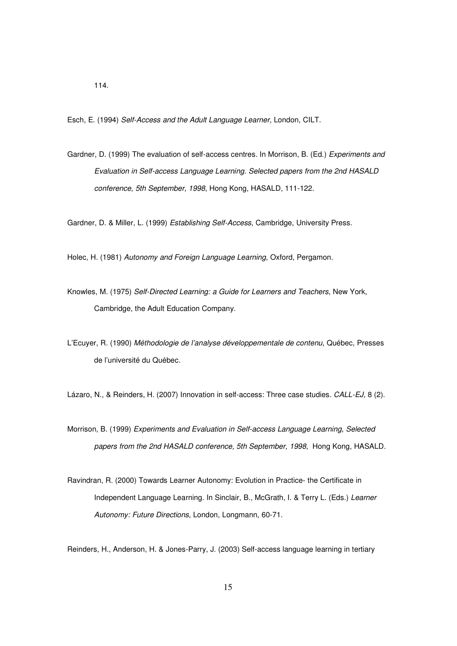Esch, E. (1994) Self-Access and the Adult Language Learner, London, CILT.

Gardner, D. (1999) The evaluation of self-access centres. In Morrison, B. (Ed.) Experiments and Evaluation in Self-access Language Learning. Selected papers from the 2nd HASALD conference, 5th September, 1998, Hong Kong, HASALD, 111-122.

Gardner, D. & Miller, L. (1999) Establishing Self-Access, Cambridge, University Press.

Holec, H. (1981) Autonomy and Foreign Language Learning, Oxford, Pergamon.

- Knowles, M. (1975) Self-Directed Learning: a Guide for Learners and Teachers, New York, Cambridge, the Adult Education Company.
- L'Ecuyer, R. (1990) Méthodologie de l'analyse développementale de contenu, Québec, Presses de l'université du Québec.

Lázaro, N., & Reinders, H. (2007) Innovation in self-access: Three case studies. CALL-EJ, 8 (2).

- Morrison, B. (1999) Experiments and Evaluation in Self-access Language Learning, Selected papers from the 2nd HASALD conference, 5th September, 1998, Hong Kong, HASALD.
- Ravindran, R. (2000) Towards Learner Autonomy: Evolution in Practice- the Certificate in Independent Language Learning. In Sinclair, B., McGrath, I. & Terry L. (Eds.) Learner Autonomy: Future Directions, London, Longmann, 60-71.

Reinders, H., Anderson, H. & Jones-Parry, J. (2003) Self-access language learning in tertiary